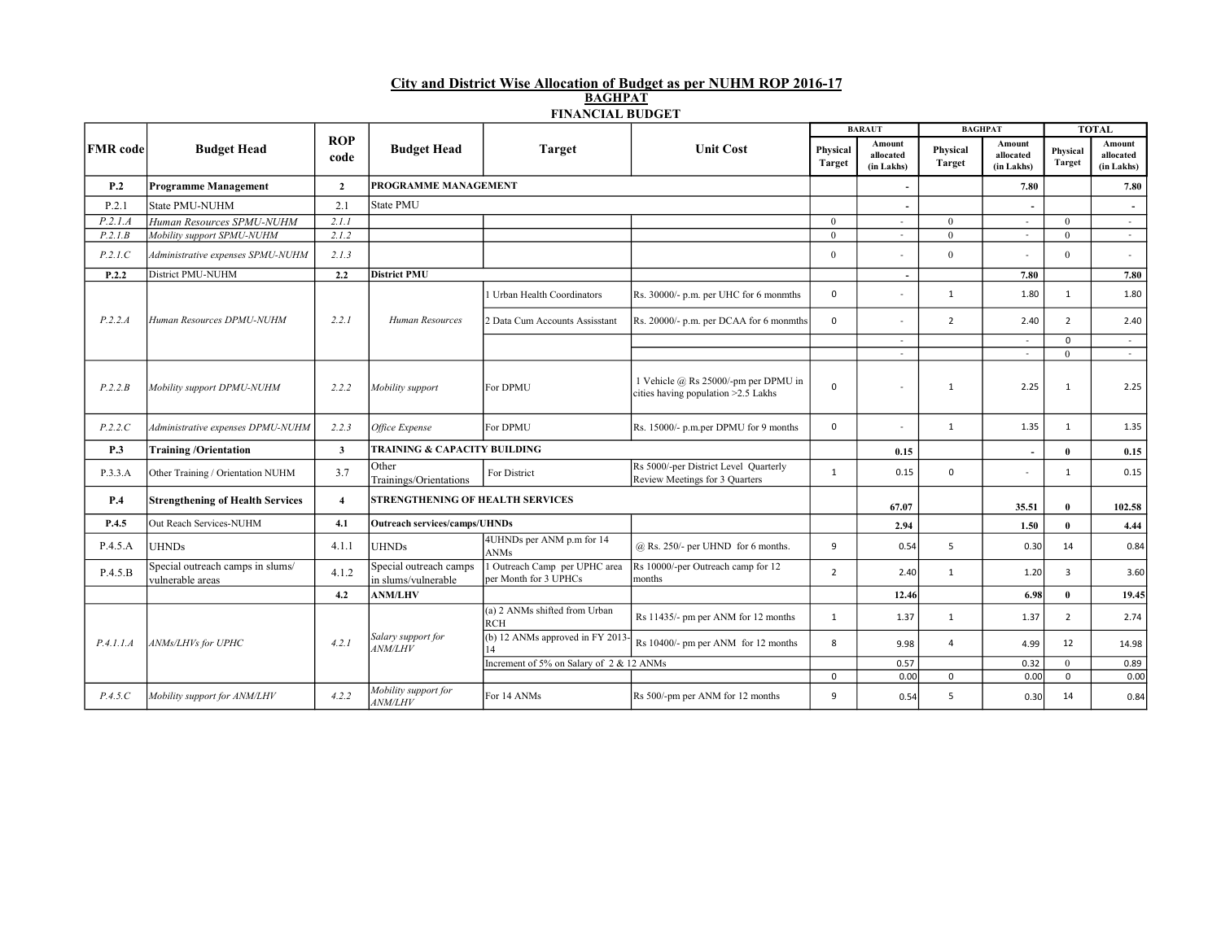## City and District Wise Allocation of Budget as per NUHM ROP 2016-17 BAGHPAT FINANCIAL BUDGET

|                 |                                                      |                         |                                               |                                                                                         |                                                                               | <b>BARAUT</b>             |                                   | <b>BAGHPAT</b>     |                                   | <b>TOTAL</b>              |                                   |
|-----------------|------------------------------------------------------|-------------------------|-----------------------------------------------|-----------------------------------------------------------------------------------------|-------------------------------------------------------------------------------|---------------------------|-----------------------------------|--------------------|-----------------------------------|---------------------------|-----------------------------------|
| <b>FMR</b> code | <b>Budget Head</b>                                   | <b>ROP</b><br>code      | <b>Budget Head</b>                            | <b>Target</b>                                                                           | <b>Unit Cost</b>                                                              | Physical<br><b>Target</b> | Amount<br>allocated<br>(in Lakhs) | Physical<br>Target | Amount<br>allocated<br>(in Lakhs) | Physical<br><b>Target</b> | Amount<br>allocated<br>(in Lakhs) |
| P.2             | <b>Programme Management</b>                          | $\overline{2}$          | PROGRAMME MANAGEMENT                          |                                                                                         |                                                                               |                           |                                   |                    | 7.80                              |                           | 7.80                              |
| P.2.1           | <b>State PMU-NUHM</b>                                | 2.1                     | <b>State PMU</b>                              |                                                                                         |                                                                               |                           |                                   |                    |                                   |                           |                                   |
| P.2.1.A         | Human Resources SPMU-NUHM                            | 2.1.1                   |                                               |                                                                                         |                                                                               | $\theta$                  | $\bar{a}$                         | $\theta$           | $\sim$                            | $\theta$                  | $\sim$                            |
| P.2.1.B         | Mobility support SPMU-NUHM                           | 2.1.2                   |                                               |                                                                                         |                                                                               | $\theta$                  | $\omega$                          | $\theta$           | $\sim$                            | $\theta$                  | $\omega$                          |
| P.2.1.C         | Administrative expenses SPMU-NUHM                    | 2.1.3                   |                                               |                                                                                         |                                                                               | $\Omega$                  |                                   | $\theta$           | $\sim$                            | $\theta$                  | ÷                                 |
| P.2.2           | District PMU-NUHM                                    | 2.2                     | <b>District PMU</b>                           |                                                                                         |                                                                               |                           |                                   |                    | 7.80                              |                           | 7.80                              |
|                 | Human Resources DPMU-NUHM                            | 2.2.1                   | Human Resources                               | 1 Urban Health Coordinators                                                             | Rs. 30000/- p.m. per UHC for 6 monmths                                        | 0                         | $\sim$                            | $\mathbf{1}$       | 1.80                              | $\mathbf{1}$              | 1.80                              |
| P.2.2.A         |                                                      |                         |                                               | 2 Data Cum Accounts Assisstant                                                          | Rs. 20000/- p.m. per DCAA for 6 monmths                                       | $\mathbf{0}$              |                                   | $\overline{2}$     | 2.40                              | $\overline{2}$            | 2.40                              |
|                 |                                                      |                         |                                               |                                                                                         |                                                                               |                           | $\sim$                            |                    | $\sim$                            | $\mathbf 0$               | $\sim$                            |
|                 |                                                      |                         |                                               |                                                                                         |                                                                               |                           |                                   |                    | $\sim$                            | $\overline{0}$            | $\sim$                            |
| P.2.2.B         | Mobility support DPMU-NUHM                           | 2.2.2                   | Mobility support                              | For DPMU                                                                                | 1 Vehicle $@$ Rs 25000/-pm per DPMU in<br>cities having population >2.5 Lakhs | 0                         |                                   | 1                  | 2.25                              | $\mathbf{1}$              | 2.25                              |
| P.2.2.C         | Administrative expenses DPMU-NUHM                    | 2.2.3                   | Office Expense                                | For DPMU                                                                                | Rs. 15000/- p.m.per DPMU for 9 months                                         | 0                         | $\overline{a}$                    | 1                  | 1.35                              | $\mathbf{1}$              | 1.35                              |
| P.3             | <b>Training/Orientation</b>                          | $\overline{\mathbf{3}}$ | <b>TRAINING &amp; CAPACITY BUILDING</b>       |                                                                                         |                                                                               |                           | 0.15                              |                    | $\overline{\phantom{a}}$          | $\mathbf{0}$              | 0.15                              |
| P.3.3.A         | Other Training / Orientation NUHM                    | 3.7                     | Other<br>Trainings/Orientations               | Rs 5000/-per District Level Quarterly<br>For District<br>Review Meetings for 3 Quarters |                                                                               |                           |                                   | $\Omega$           | $\sim$                            | $\mathbf{1}$              | 0.15                              |
| P.4             | <b>Strengthening of Health Services</b>              | $\overline{4}$          | <b>STRENGTHENING OF HEALTH SERVICES</b>       |                                                                                         |                                                                               |                           | 67.07                             |                    | 35.51                             | $\mathbf{0}$              | 102.58                            |
| P.4.5           | Out Reach Services-NUHM                              | 4.1                     |                                               | <b>Outreach services/camps/UHNDs</b>                                                    |                                                                               |                           | 2.94                              |                    | 1.50                              | $\mathbf{0}$              | 4,44                              |
| P.4.5.A         | <b>UHNDs</b>                                         | 4.1.1                   | <b>UHNDs</b>                                  | 4UHNDs per ANM p.m for 14<br><b>ANMs</b>                                                | $(a)$ Rs. 250/- per UHND for 6 months.                                        | 9                         | 0.54                              | 5                  | 0.30                              | 14                        | 0.84                              |
| P.4.5.B         | Special outreach camps in slums/<br>vulnerable areas | 4.1.2                   | Special outreach camps<br>in slums/vulnerable | Outreach Camp per UPHC area<br>per Month for 3 UPHCs                                    | Rs 10000/-per Outreach camp for 12<br>months                                  | $\overline{2}$            | 2.40                              | 1                  | 1.20                              | 3                         | 3.60                              |
|                 |                                                      | 4.2                     | <b>ANM/LHV</b>                                |                                                                                         |                                                                               |                           | 12.46                             |                    | 6.98                              | $\bf{0}$                  | 19.45                             |
|                 |                                                      |                         |                                               | (a) 2 ANMs shifted from Urban<br><b>RCH</b>                                             | Rs 11435/- pm per ANM for 12 months                                           | 1                         | 1.37                              | $\mathbf{1}$       | 1.37                              | $\overline{2}$            | 2.74                              |
| P.4.1.1.A       | ANMs/LHVs for UPHC                                   | 4.2.1                   | Salary support for<br><i>ANM/LHV</i>          | (b) 12 ANMs approved in FY 2013-<br>14                                                  | Rs 10400/- pm per ANM for 12 months                                           | 8                         | 9.98                              | 4                  | 4.99                              | 12                        | 14.98                             |
|                 |                                                      |                         |                                               | Increment of 5% on Salary of 2 & 12 ANMs                                                |                                                                               |                           | 0.57                              |                    | 0.32                              | $\theta$                  | 0.89                              |
|                 |                                                      |                         |                                               |                                                                                         |                                                                               | $\mathbf 0$               | 0.00                              | $\mathbf 0$        | 0.00                              | $\mathbf 0$               | 0.00                              |
| P.4.5.C         | Mobility support for ANM/LHV                         | 4.2.2                   | Mobility support for<br><b>ANM/LHV</b>        | For 14 ANMs                                                                             | Rs 500/-pm per ANM for 12 months                                              | 9                         | 0.54                              | 5                  | 0.30                              | 14                        | 0.84                              |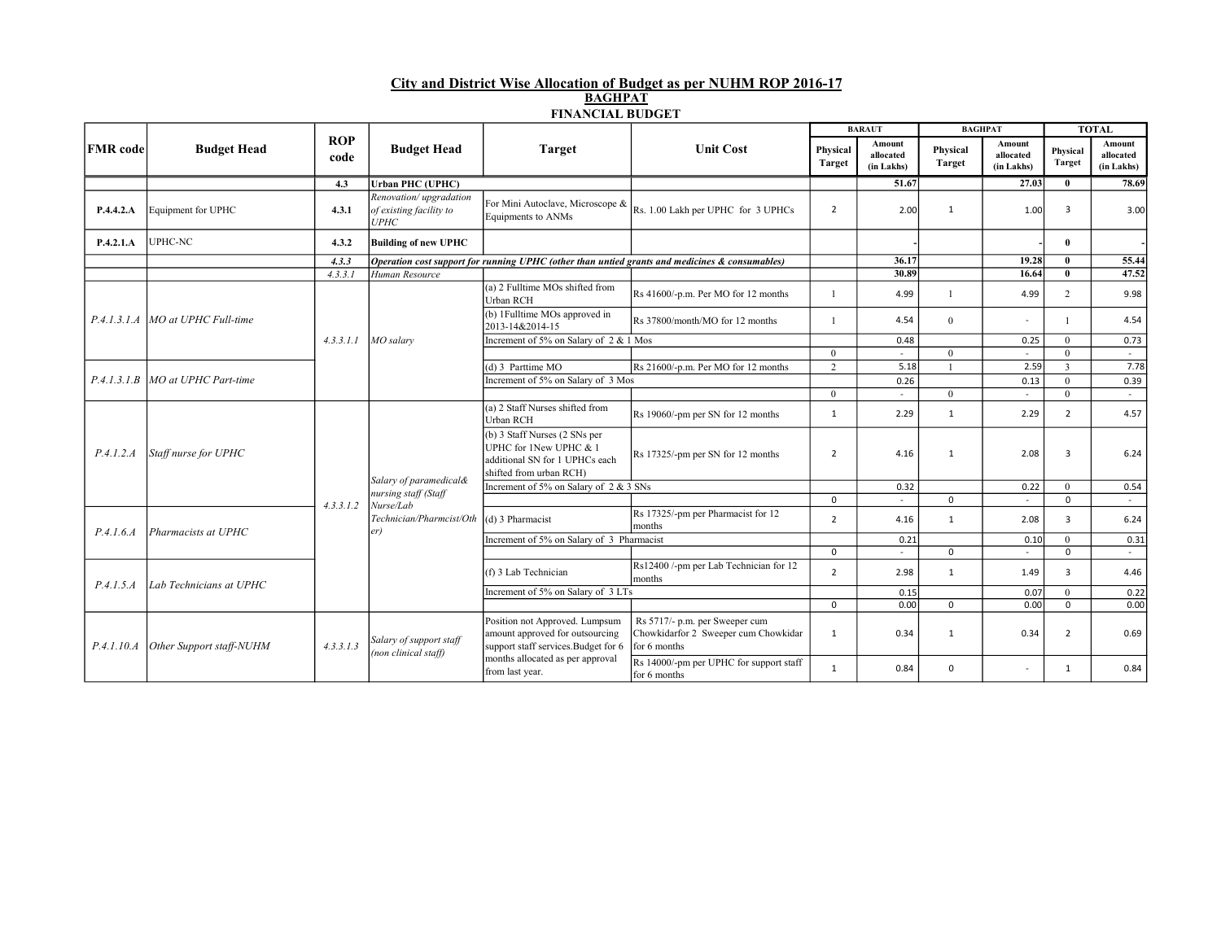## City and District Wise Allocation of Budget as per NUHM ROP 2016-17 BAGHPAT FINANCIAL BUDGET

|                 | <b>Budget Head</b>                 |                    |                                                                  |                                                                                                                      |                                                                                                | <b>BARAUT</b>             |                                   | <b>BAGHPAT</b>            |                                   | <b>TOTAL</b>              |                                   |
|-----------------|------------------------------------|--------------------|------------------------------------------------------------------|----------------------------------------------------------------------------------------------------------------------|------------------------------------------------------------------------------------------------|---------------------------|-----------------------------------|---------------------------|-----------------------------------|---------------------------|-----------------------------------|
| <b>FMR</b> code |                                    | <b>ROP</b><br>code | <b>Budget Head</b>                                               | Target                                                                                                               | <b>Unit Cost</b>                                                                               | Physical<br><b>Target</b> | Amount<br>allocated<br>(in Lakhs) | Physical<br><b>Target</b> | Amount<br>allocated<br>(in Lakhs) | Physical<br><b>Target</b> | Amount<br>allocated<br>(in Lakhs) |
|                 |                                    | 4.3                | <b>Urban PHC (UPHC)</b>                                          |                                                                                                                      |                                                                                                |                           | 51.67                             |                           | 27.03                             | $\mathbf{0}$              | 78.69                             |
| P.4.4.2.A       | Equipment for UPHC                 | 4.3.1              | Renovation/upgradation<br>of existing facility to<br><b>UPHC</b> | For Mini Autoclave, Microscope &<br>Equipments to ANMs                                                               | Rs. 1.00 Lakh per UPHC for 3 UPHCs                                                             | $\overline{2}$            | 2.00                              | 1                         | 1.00                              | 3                         | 3.00                              |
| P.4.2.1.A       | UPHC-NC                            | 4.3.2              | <b>Building of new UPHC</b>                                      |                                                                                                                      |                                                                                                |                           |                                   |                           |                                   | $\mathbf{0}$              |                                   |
|                 |                                    | 4.3.3              |                                                                  |                                                                                                                      | Operation cost support for running UPHC (other than untied grants and medicines & consumables) |                           | 36.17                             |                           | 19.28                             | $\bf{0}$                  | 55.44                             |
|                 |                                    | 4.3.3.1            | Human Resource                                                   |                                                                                                                      |                                                                                                |                           | 30.89                             |                           | 16.64                             | $\mathbf{0}$              | 47.52                             |
|                 | P.4.1.3.1.A   MO at UPHC Full-time |                    | MO salary                                                        | (a) 2 Fulltime MOs shifted from<br>Urban RCH                                                                         | Rs 41600/-p.m. Per MO for 12 months                                                            |                           | 4.99                              |                           | 4.99                              | $\overline{2}$            | 9.98                              |
|                 |                                    |                    |                                                                  | (b) 1Fulltime MOs approved in<br>2013-14&2014-15                                                                     | Rs 37800/month/MO for 12 months                                                                |                           | 4.54                              | $\mathbf{0}$              | $\sim$                            | -1                        | 4.54                              |
|                 |                                    | 4.3.3.1.1          |                                                                  | Increment of 5% on Salary of 2 & 1 Mos                                                                               |                                                                                                |                           | 0.48                              |                           | 0.25                              | $\overline{0}$            | 0.73                              |
|                 |                                    |                    |                                                                  |                                                                                                                      |                                                                                                | $\Omega$                  |                                   | $\Omega$                  | $\sim$                            | $\theta$                  | $\sim$                            |
|                 | P.4.1.3.1.B   MO at UPHC Part-time |                    |                                                                  | (d) 3 Parttime MO                                                                                                    | Rs 21600/-p.m. Per MO for 12 months                                                            | 2                         | 5.18                              |                           | 2.59                              | $\overline{3}$            | 7.78                              |
|                 |                                    |                    |                                                                  | Increment of 5% on Salary of 3 Mos                                                                                   |                                                                                                |                           | 0.26                              |                           | 0.13                              | $\theta$                  | 0.39                              |
|                 |                                    |                    |                                                                  |                                                                                                                      |                                                                                                | $\theta$                  | ÷                                 | $\Omega$                  | $\sim$                            | $\theta$                  | $\sim$                            |
| P.4.1.2.A       | Staff nurse for UPHC               | 4.3.3.1.2          | Salary of paramedical&<br>nursing staff (Staff<br>Nurse/Lab      | (a) 2 Staff Nurses shifted from<br>Urban RCH                                                                         | Rs 19060/-pm per SN for 12 months                                                              | 1                         | 2.29                              | 1                         | 2.29                              | $\overline{2}$            | 4.57                              |
|                 |                                    |                    |                                                                  | (b) 3 Staff Nurses (2 SNs per<br>UPHC for 1New UPHC & 1<br>additional SN for 1 UPHCs each<br>shifted from urban RCH) | Rs 17325/-pm per SN for 12 months                                                              | $\overline{2}$            | 4.16                              | 1                         | 2.08                              | 3                         | 6.24                              |
|                 |                                    |                    |                                                                  | Increment of 5% on Salary of 2 & 3 SNs                                                                               |                                                                                                |                           | 0.32                              |                           | 0.22                              | $\mathbf{0}$              | 0.54                              |
|                 |                                    |                    |                                                                  |                                                                                                                      |                                                                                                | $\mathbf 0$               | $\sim$                            | $\mathbf 0$               | $\sim$                            | $\mathbf 0$               | $\sim$                            |
| P.4.1.6.4       | Pharmacists at UPHC                |                    | Technician/Pharmcist/Oth<br>er)                                  | (d) 3 Pharmacist                                                                                                     | Rs 17325/-pm per Pharmacist for 12<br>months                                                   | $\overline{2}$            | 4.16                              | 1                         | 2.08                              | $\overline{3}$            | 6.24                              |
|                 |                                    |                    |                                                                  | Increment of 5% on Salary of 3 Pharmacist                                                                            |                                                                                                |                           | 0.21                              |                           | 0.10                              | $\theta$                  | 0.31                              |
|                 |                                    |                    |                                                                  |                                                                                                                      |                                                                                                | $\mathbf 0$               | $\sim$                            | $\mathbf 0$               | $\sim$                            | $\mathbf 0$               | $\sim$                            |
| P.4.1.5.4       | Lab Technicians at UPHC            |                    |                                                                  | (f) 3 Lab Technician                                                                                                 | Rs12400 /-pm per Lab Technician for 12<br>months                                               | $\overline{2}$            | 2.98                              | 1                         | 1.49                              | $\overline{3}$            | 4.46                              |
|                 |                                    |                    |                                                                  | Increment of 5% on Salary of 3 LTs                                                                                   |                                                                                                |                           | 0.15                              |                           | 0.07                              | $\theta$                  | 0.22                              |
|                 |                                    |                    |                                                                  |                                                                                                                      |                                                                                                | $\Omega$                  | 0.00                              | $\mathbf 0$               | 0.00                              | $\mathbf 0$               | 0.00                              |
| P.4.1.10.A      | Other Support staff-NUHM           | 4.3.3.1.3          | Salary of support staff<br>(non clinical staff)                  | Position not Approved. Lumpsum<br>amount approved for outsourcing<br>support staff services. Budget for 6            | Rs 5717/- p.m. per Sweeper cum<br>Chowkidarfor 2 Sweeper cum Chowkidar<br>for 6 months         | 1                         | 0.34                              | 1                         | 0.34                              | $\overline{2}$            | 0.69                              |
|                 |                                    |                    |                                                                  | months allocated as per approval<br>from last year.                                                                  | Rs 14000/-pm per UPHC for support staff<br>for 6 months                                        | 1                         | 0.84                              | $\mathbf 0$               | $\sim$                            | 1                         | 0.84                              |